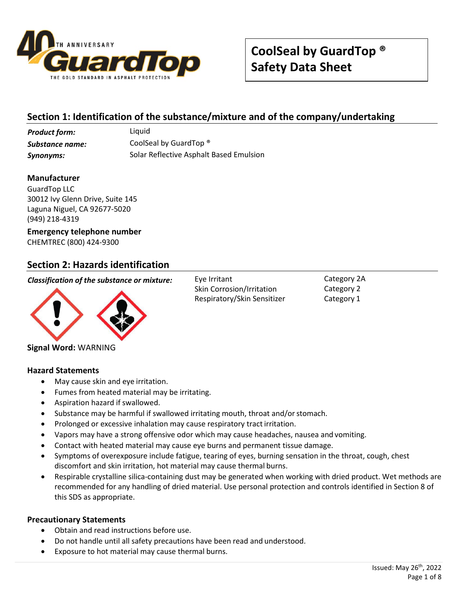

# **Section 1: Identification of the substance/mixture and of the company/undertaking**

**Product form:** Liquid *Substance name:* CoolSeal by GuardTop ® *Synonyms:* Solar Reflective Asphalt Based Emulsion

### **Manufacturer**

GuardTop LLC 30012 Ivy Glenn Drive, Suite 145 Laguna Niguel, CA 92677-5020 (949) 218-4319

### **Emergency telephone number** CHEMTREC (800) 424-9300

### **Section 2: Hazards identification**

*Classification of the substance or mixture:* Eye Irritant



**Signal Word:** WARNING

### **Hazard Statements**

- May cause skin and eye irritation.
- Fumes from heated material may be irritating.
- Aspiration hazard if swallowed.
- Substance may be harmful if swallowed irritating mouth, throat and/orstomach.
- Prolonged or excessive inhalation may cause respiratory tract irritation.
- Vapors may have a strong offensive odor which may cause headaches, nausea and vomiting.
- Contact with heated material may cause eye burns and permanent tissue damage.
- Symptoms of overexposure include fatigue, tearing of eyes, burning sensation in the throat, cough, chest discomfort and skin irritation, hot material may cause thermal burns.
- Respirable crystalline silica-containing dust may be generated when working with dried product. Wet methods are recommended for any handling of dried material. Use personal protection and controls identified in Section 8 of this SDS as appropriate.

#### **Precautionary Statements**

- Obtain and read instructions before use.
- Do not handle until all safety precautions have been read and understood.
- Exposure to hot material may cause thermal burns.

Skin Corrosion/Irritation Respiratory/Skin Sensitizer Category 2A Category 2 Category 1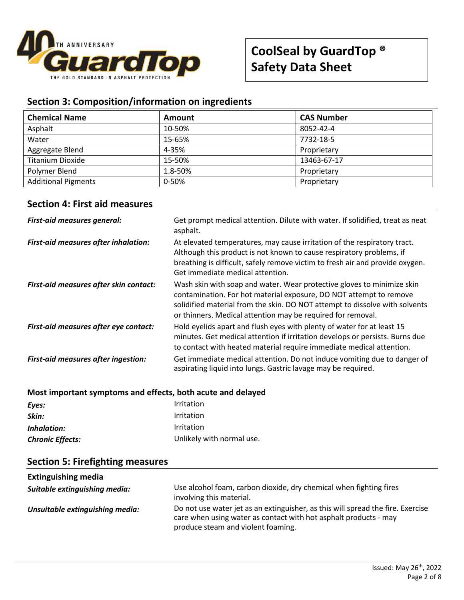

# **Section 3: Composition/information on ingredients**

| <b>Chemical Name</b>       | Amount  | <b>CAS Number</b> |
|----------------------------|---------|-------------------|
| Asphalt                    | 10-50%  | 8052-42-4         |
| Water                      | 15-65%  | 7732-18-5         |
| Aggregate Blend            | 4-35%   | Proprietary       |
| <b>Titanium Dioxide</b>    | 15-50%  | 13463-67-17       |
| Polymer Blend              | 1.8-50% | Proprietary       |
| <b>Additional Pigments</b> | 0-50%   | Proprietary       |

### **Section 4: First aid measures**

| <b>First-aid measures general:</b>         | Get prompt medical attention. Dilute with water. If solidified, treat as neat<br>asphalt.                                                                                                                                                                                                  |
|--------------------------------------------|--------------------------------------------------------------------------------------------------------------------------------------------------------------------------------------------------------------------------------------------------------------------------------------------|
| First-aid measures after inhalation:       | At elevated temperatures, may cause irritation of the respiratory tract.<br>Although this product is not known to cause respiratory problems, if<br>breathing is difficult, safely remove victim to fresh air and provide oxygen.<br>Get immediate medical attention.                      |
| First-aid measures after skin contact:     | Wash skin with soap and water. Wear protective gloves to minimize skin<br>contamination. For hot material exposure, DO NOT attempt to remove<br>solidified material from the skin. DO NOT attempt to dissolve with solvents<br>or thinners. Medical attention may be required for removal. |
| First-aid measures after eye contact:      | Hold eyelids apart and flush eyes with plenty of water for at least 15<br>minutes. Get medical attention if irritation develops or persists. Burns due<br>to contact with heated material require immediate medical attention.                                                             |
| <b>First-aid measures after ingestion:</b> | Get immediate medical attention. Do not induce vomiting due to danger of<br>aspirating liquid into lungs. Gastric lavage may be required.                                                                                                                                                  |

### **Most important symptoms and effects, both acute and delayed**

| Eyes:                   | <i>Irritation</i>         |
|-------------------------|---------------------------|
| Skin:                   | Irritation                |
| Inhalation:             | Irritation                |
| <b>Chronic Effects:</b> | Unlikely with normal use. |

|  |  | <b>Section 5: Firefighting measures</b> |  |
|--|--|-----------------------------------------|--|
|--|--|-----------------------------------------|--|

| <b>Extinguishing media</b>      |                                                                                                                                                                                           |
|---------------------------------|-------------------------------------------------------------------------------------------------------------------------------------------------------------------------------------------|
| Suitable extinguishing media:   | Use alcohol foam, carbon dioxide, dry chemical when fighting fires<br>involving this material.                                                                                            |
| Unsuitable extinguishing media: | Do not use water jet as an extinguisher, as this will spread the fire. Exercise<br>care when using water as contact with hot asphalt products - may<br>produce steam and violent foaming. |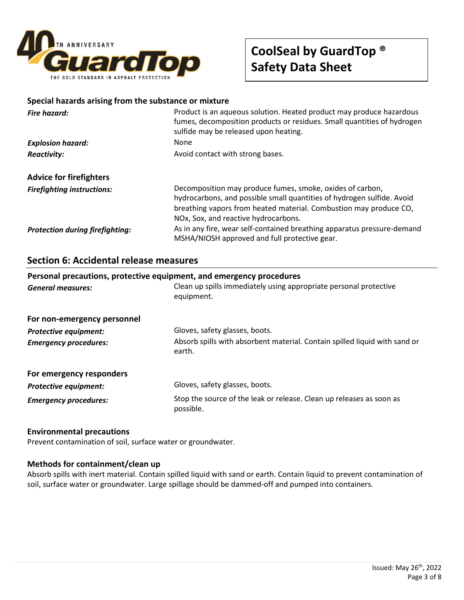

# **CoolSeal by GuardTop ® Safety Data Sheet**

#### **Special hazards arising from the substance or mixture**

| Fire hazard:                           | Product is an aqueous solution. Heated product may produce hazardous<br>fumes, decomposition products or residues. Small quantities of hydrogen<br>sulfide may be released upon heating.                                                         |
|----------------------------------------|--------------------------------------------------------------------------------------------------------------------------------------------------------------------------------------------------------------------------------------------------|
| <b>Explosion hazard:</b>               | None                                                                                                                                                                                                                                             |
| <b>Reactivity:</b>                     | Avoid contact with strong bases.                                                                                                                                                                                                                 |
| <b>Advice for firefighters</b>         |                                                                                                                                                                                                                                                  |
| <b>Firefighting instructions:</b>      | Decomposition may produce fumes, smoke, oxides of carbon,<br>hydrocarbons, and possible small quantities of hydrogen sulfide. Avoid<br>breathing vapors from heated material. Combustion may produce CO,<br>NOx, Sox, and reactive hydrocarbons. |
| <b>Protection during firefighting:</b> | As in any fire, wear self-contained breathing apparatus pressure-demand<br>MSHA/NIOSH approved and full protective gear.                                                                                                                         |

### **Section 6: Accidental release measures**

| Personal precautions, protective equipment, and emergency procedures<br>Clean up spills immediately using appropriate personal protective<br><b>General measures:</b><br>equipment. |                                                                                      |  |
|-------------------------------------------------------------------------------------------------------------------------------------------------------------------------------------|--------------------------------------------------------------------------------------|--|
| For non-emergency personnel                                                                                                                                                         |                                                                                      |  |
| <b>Protective equipment:</b>                                                                                                                                                        | Gloves, safety glasses, boots.                                                       |  |
| <b>Emergency procedures:</b>                                                                                                                                                        | Absorb spills with absorbent material. Contain spilled liquid with sand or<br>earth. |  |
| For emergency responders                                                                                                                                                            |                                                                                      |  |
| <b>Protective equipment:</b>                                                                                                                                                        | Gloves, safety glasses, boots.                                                       |  |
| <b>Emergency procedures:</b>                                                                                                                                                        | Stop the source of the leak or release. Clean up releases as soon as<br>possible.    |  |

### **Environmental precautions**

Prevent contamination of soil, surface water or groundwater.

#### **Methods for containment/clean up**

Absorb spills with inert material. Contain spilled liquid with sand or earth. Contain liquid to prevent contamination of soil, surface water or groundwater. Large spillage should be dammed-off and pumped into containers.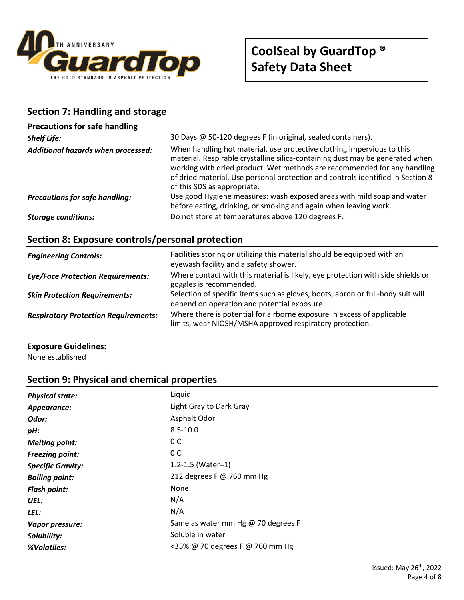

# **Section 7: Handling and storage**

| <b>Precautions for safe handling</b>  |                                                                                                                                                                                                                                                                                                                                                       |
|---------------------------------------|-------------------------------------------------------------------------------------------------------------------------------------------------------------------------------------------------------------------------------------------------------------------------------------------------------------------------------------------------------|
| <b>Shelf Life:</b>                    | 30 Days @ 50-120 degrees F (in original, sealed containers).                                                                                                                                                                                                                                                                                          |
| Additional hazards when processed:    | When handling hot material, use protective clothing impervious to this<br>material. Respirable crystalline silica-containing dust may be generated when<br>working with dried product. Wet methods are recommended for any handling<br>of dried material. Use personal protection and controls identified in Section 8<br>of this SDS as appropriate. |
| <b>Precautions for safe handling:</b> | Use good Hygiene measures: wash exposed areas with mild soap and water<br>before eating, drinking, or smoking and again when leaving work.                                                                                                                                                                                                            |
| <b>Storage conditions:</b>            | Do not store at temperatures above 120 degrees F.                                                                                                                                                                                                                                                                                                     |

# **Section 8: Exposure controls/personal protection**

| <b>Engineering Controls:</b>                | Facilities storing or utilizing this material should be equipped with an<br>eyewash facility and a safety shower.                  |
|---------------------------------------------|------------------------------------------------------------------------------------------------------------------------------------|
| <b>Eye/Face Protection Requirements:</b>    | Where contact with this material is likely, eye protection with side shields or<br>goggles is recommended.                         |
| <b>Skin Protection Requirements:</b>        | Selection of specific items such as gloves, boots, apron or full-body suit will<br>depend on operation and potential exposure.     |
| <b>Respiratory Protection Requirements:</b> | Where there is potential for airborne exposure in excess of applicable<br>limits, wear NIOSH/MSHA approved respiratory protection. |

#### **Exposure Guidelines:**

None established

### **Section 9: Physical and chemical properties**

| <b>Physical state:</b>   | Liquid                             |
|--------------------------|------------------------------------|
| Appearance:              | Light Gray to Dark Gray            |
| Odor:                    | Asphalt Odor                       |
| pH:                      | $8.5 - 10.0$                       |
| <b>Melting point:</b>    | 0 C                                |
| <b>Freezing point:</b>   | 0 C                                |
| <b>Specific Gravity:</b> | 1.2-1.5 (Water=1)                  |
| <b>Boiling point:</b>    | 212 degrees F @ 760 mm Hg          |
| <b>Flash point:</b>      | None                               |
| UEL:                     | N/A                                |
| LEL:                     | N/A                                |
| Vapor pressure:          | Same as water mm Hg @ 70 degrees F |
| Solubility:              | Soluble in water                   |
| %Volatiles:              | <35% @ 70 degrees F @ 760 mm Hg    |
|                          |                                    |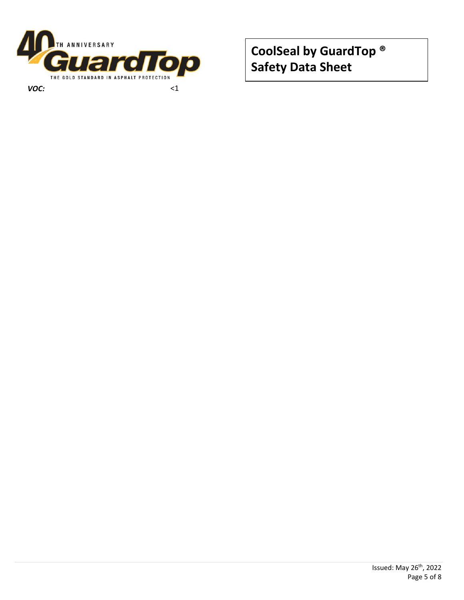

**CoolSeal by GuardTop ® Safety Data Sheet**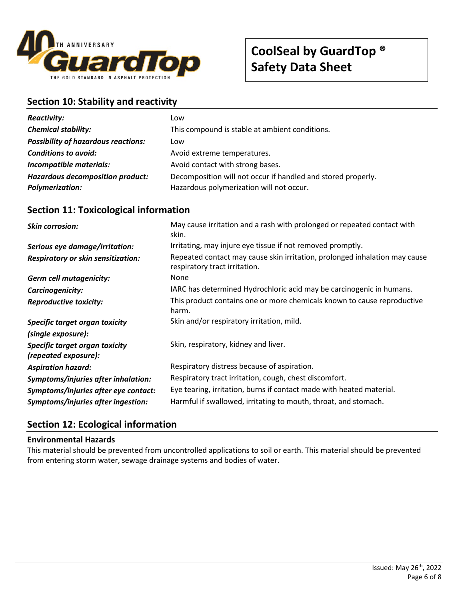

# **CoolSeal by GuardTop ® Safety Data Sheet**

### **Section 10: Stability and reactivity**

| <b>Reactivity:</b>                         | Low                                                          |
|--------------------------------------------|--------------------------------------------------------------|
| <b>Chemical stability:</b>                 | This compound is stable at ambient conditions.               |
| <b>Possibility of hazardous reactions:</b> | Low                                                          |
| <b>Conditions to avoid:</b>                | Avoid extreme temperatures.                                  |
| Incompatible materials:                    | Avoid contact with strong bases.                             |
| <b>Hazardous decomposition product:</b>    | Decomposition will not occur if handled and stored properly. |
| <b>Polymerization:</b>                     | Hazardous polymerization will not occur.                     |

### **Skin corrosion:** May cause irritation and a rash with prolonged or repeated contact with skin. **Serious eye damage/irritation:** Irritating, may injure eye tissue if not removed promptly. *Respiratory or skin sensitization:* Repeated contact may cause skin irritation, prolonged inhalation may cause respiratory tract irritation. **Germ cell mutagenicity:** None *Carcinogenicity:* IARC has determined Hydrochloric acid may be carcinogenic in humans. *Reproductive toxicity:* This product contains one or more chemicals known to cause reproductive harm. *Specific target organ toxicity (single exposure):* Skin and/or respiratory irritation, mild. *Specific target organ toxicity (repeated exposure):* Skin, respiratory, kidney and liver. *Aspiration hazard:* Respiratory distress because of aspiration. *Symptoms/injuries after inhalation:* Respiratory tract irritation, cough, chest discomfort. *Symptoms/injuries after eye contact:* Eye tearing, irritation, burns if contact made with heated material. *Symptoms/injuries after ingestion:* Harmful if swallowed, irritating to mouth, throat, and stomach.

### **Section 11: Toxicological information**

# **Section 12: Ecological information**

### **Environmental Hazards**

This material should be prevented from uncontrolled applications to soil or earth. This material should be prevented from entering storm water, sewage drainage systems and bodies of water.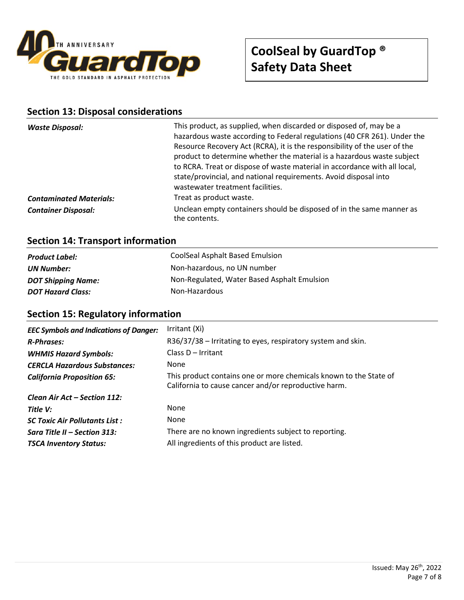

# **Section 13: Disposal considerations**

| hazardous waste according to Federal regulations (40 CFR 261). Under the<br>Resource Recovery Act (RCRA), it is the responsibility of the user of the<br>product to determine whether the material is a hazardous waste subject<br>to RCRA. Treat or dispose of waste material in accordance with all local,<br>state/provincial, and national requirements. Avoid disposal into<br>wastewater treatment facilities.<br>Treat as product waste. |
|-------------------------------------------------------------------------------------------------------------------------------------------------------------------------------------------------------------------------------------------------------------------------------------------------------------------------------------------------------------------------------------------------------------------------------------------------|
| Unclean empty containers should be disposed of in the same manner as<br>the contents.                                                                                                                                                                                                                                                                                                                                                           |
|                                                                                                                                                                                                                                                                                                                                                                                                                                                 |

# **Section 14: Transport information**

| <b>Product Label:</b>     | CoolSeal Asphalt Based Emulsion             |
|---------------------------|---------------------------------------------|
| UN Number:                | Non-hazardous, no UN number                 |
| <b>DOT Shipping Name:</b> | Non-Regulated, Water Based Asphalt Emulsion |
| <b>DOT Hazard Class:</b>  | Non-Hazardous                               |

# **Section 15: Regulatory information**

| <b>EEC Symbols and Indications of Danger:</b> | Irritant (Xi)                                                                                                             |
|-----------------------------------------------|---------------------------------------------------------------------------------------------------------------------------|
| <b>R-Phrases:</b>                             | R36/37/38 – Irritating to eyes, respiratory system and skin.                                                              |
| <b>WHMIS Hazard Symbols:</b>                  | Class D - Irritant                                                                                                        |
| <b>CERCLA Hazardous Substances:</b>           | <b>None</b>                                                                                                               |
| <b>California Proposition 65:</b>             | This product contains one or more chemicals known to the State of<br>California to cause cancer and/or reproductive harm. |
| Clean Air Act – Section 112:                  |                                                                                                                           |
| Title V:                                      | <b>None</b>                                                                                                               |
| <b>SC Toxic Air Pollutants List:</b>          | None                                                                                                                      |
| Sara Title II – Section 313:                  | There are no known ingredients subject to reporting.                                                                      |
| <b>TSCA Inventory Status:</b>                 | All ingredients of this product are listed.                                                                               |